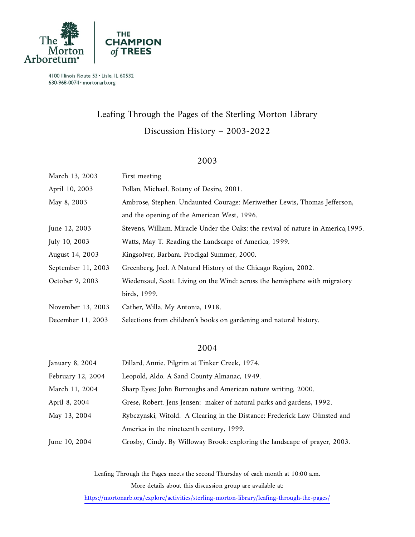

# Leafing Through the Pages of the Sterling Morton Library Discussion History – 2003-2022

#### 2003

| March 13, 2003     | First meeting                                                                     |
|--------------------|-----------------------------------------------------------------------------------|
| April 10, 2003     | Pollan, Michael. Botany of Desire, 2001.                                          |
| May 8, 2003        | Ambrose, Stephen. Undaunted Courage: Meriwether Lewis, Thomas Jefferson,          |
|                    | and the opening of the American West, 1996.                                       |
| June 12, 2003      | Stevens, William. Miracle Under the Oaks: the revival of nature in America, 1995. |
| July 10, 2003      | Watts, May T. Reading the Landscape of America, 1999.                             |
| August 14, 2003    | Kingsolver, Barbara. Prodigal Summer, 2000.                                       |
| September 11, 2003 | Greenberg, Joel. A Natural History of the Chicago Region, 2002.                   |
| October 9, 2003    | Wiedensaul, Scott. Living on the Wind: across the hemisphere with migratory       |
|                    | birds, 1999.                                                                      |
| November 13, 2003  | Cather, Willa. My Antonia, 1918.                                                  |
| December 11, 2003  | Selections from children's books on gardening and natural history.                |

#### 2004

| January 8, 2004   | Dillard, Annie. Pilgrim at Tinker Creek, 1974.                             |
|-------------------|----------------------------------------------------------------------------|
| February 12, 2004 | Leopold, Aldo. A Sand County Almanac, 1949.                                |
| March 11, 2004    | Sharp Eyes: John Burroughs and American nature writing, 2000.              |
| April 8, 2004     | Grese, Robert. Jens Jensen: maker of natural parks and gardens, 1992.      |
| May 13, 2004      | Rybczynski, Witold. A Clearing in the Distance: Frederick Law Olmsted and  |
|                   | America in the nineteenth century, 1999.                                   |
| June 10, 2004     | Crosby, Cindy. By Willoway Brook: exploring the landscape of prayer, 2003. |

Leafing Through the Pages meets the second Thursday of each month at 10:00 a.m. More details about this discussion group are available at: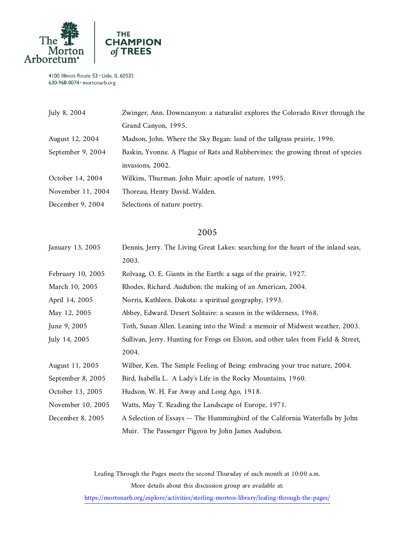

| July 8, 2004      | Zwinger, Ann. Downcanyon: a naturalist explores the Colorado River through the  |
|-------------------|---------------------------------------------------------------------------------|
|                   | Grand Canyon, 1995.                                                             |
| August 12, 2004   | Madson, John. Where the Sky Began: land of the tallgrass prairie, 1996.         |
| September 9, 2004 | Baskin, Yvonne. A Plague of Rats and Rubbervines: the growing threat of species |
|                   | invasions, 2002.                                                                |
| October 14, 2004  | Wilkins, Thurman. John Muir: apostle of nature, 1995.                           |
| November 11, 2004 | Thoreau, Henry David. Walden.                                                   |
| December 9, 2004  | Selections of nature poetry.                                                    |

## 2005

| January 13, 2005  | Dennis, Jerry. The Living Great Lakes: searching for the heart of the inland seas, |
|-------------------|------------------------------------------------------------------------------------|
|                   | 2003.                                                                              |
| February 10, 2005 | Rolvaag, O. E. Giants in the Earth: a saga of the prairie, 1927.                   |
| March 10, 2005    | Rhodes, Richard. Audubon: the making of an American, 2004.                         |
| April 14, 2005    | Norris, Kathleen. Dakota: a spiritual geography, 1993.                             |
| May 12, 2005      | Abbey, Edward. Desert Solitaire: a season in the wilderness, 1968.                 |
| June 9, 2005      | Toth, Susan Allen. Leaning into the Wind: a memoir of Midwest weather, 2003.       |
| July 14, 2005     | Sullivan, Jerry. Hunting for Frogs on Elston, and other tales from Field & Street, |
|                   | 2004.                                                                              |
| August 11, 2005   | Wilber, Ken. The Simple Feeling of Being: embracing your true nature, 2004.        |
| September 8, 2005 | Bird, Isabella L. A Lady's Life in the Rocky Mountains, 1960.                      |
| October 13, 2005  | Hudson, W. H. Far Away and Long Ago, 1918.                                         |
| November 10, 2005 | Watts, May T. Reading the Landscape of Europe, 1971.                               |
| December 8, 2005  | A Selection of Essays -- The Hummingbird of the California Waterfalls by John      |
|                   | Muir. The Passenger Pigeon by John James Audubon.                                  |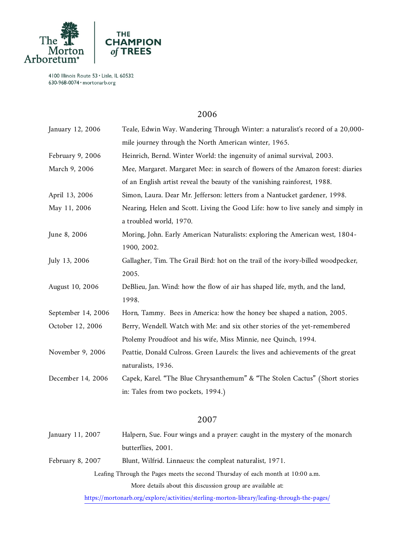

#### 2006

| January 12, 2006   | Teale, Edwin Way. Wandering Through Winter: a naturalist's record of a 20,000-   |
|--------------------|----------------------------------------------------------------------------------|
|                    | mile journey through the North American winter, 1965.                            |
| February 9, 2006   | Heinrich, Bernd. Winter World: the ingenuity of animal survival, 2003.           |
| March 9, 2006      | Mee, Margaret. Margaret Mee: in search of flowers of the Amazon forest: diaries  |
|                    | of an English artist reveal the beauty of the vanishing rainforest, 1988.        |
| April 13, 2006     | Simon, Laura. Dear Mr. Jefferson: letters from a Nantucket gardener, 1998.       |
| May 11, 2006       | Nearing, Helen and Scott. Living the Good Life: how to live sanely and simply in |
|                    | a troubled world, 1970.                                                          |
| June 8, 2006       | Moring, John. Early American Naturalists: exploring the American west, 1804-     |
|                    | 1900, 2002.                                                                      |
| July 13, 2006      | Gallagher, Tim. The Grail Bird: hot on the trail of the ivory-billed woodpecker, |
|                    | 2005.                                                                            |
| August 10, 2006    | DeBlieu, Jan. Wind: how the flow of air has shaped life, myth, and the land,     |
|                    | 1998.                                                                            |
| September 14, 2006 | Horn, Tammy. Bees in America: how the honey bee shaped a nation, 2005.           |
| October 12, 2006   | Berry, Wendell. Watch with Me: and six other stories of the yet-remembered       |
|                    | Ptolemy Proudfoot and his wife, Miss Minnie, nee Quinch, 1994.                   |
| November 9, 2006   | Peattie, Donald Culross. Green Laurels: the lives and achievements of the great  |
|                    | naturalists, 1936.                                                               |
| December 14, 2006  | Capek, Karel. "The Blue Chrysanthemum" & "The Stolen Cactus" (Short stories      |
|                    | in: Tales from two pockets, 1994.)                                               |
|                    | 2007                                                                             |
| January 11, 2007   | Halpern, Sue. Four wings and a prayer: caught in the mystery of the monarch      |
|                    | butterflies, 2001.                                                               |
|                    |                                                                                  |

February 8, 2007 Blunt, Wilfrid. Linnaeus: the compleat naturalist, 1971.

Leafing Through the Pages meets the second Thursday of each month at 10:00 a.m. More details about this discussion group are available at: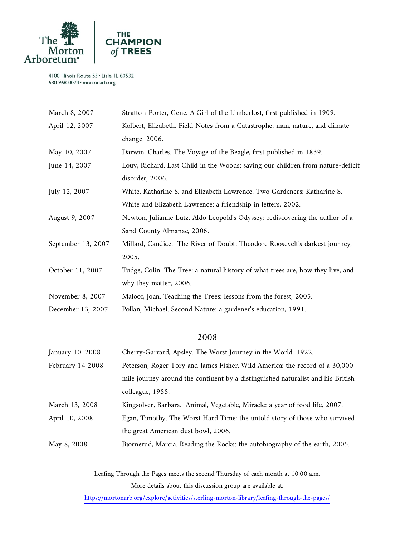

| March 8, 2007      | Stratton-Porter, Gene. A Girl of the Limberlost, first published in 1909.       |
|--------------------|---------------------------------------------------------------------------------|
| April 12, 2007     | Kolbert, Elizabeth. Field Notes from a Catastrophe: man, nature, and climate    |
|                    | change, 2006.                                                                   |
| May 10, 2007       | Darwin, Charles. The Voyage of the Beagle, first published in 1839.             |
| June 14, 2007      | Louv, Richard. Last Child in the Woods: saving our children from nature-deficit |
|                    | disorder, 2006.                                                                 |
| July 12, 2007      | White, Katharine S. and Elizabeth Lawrence. Two Gardeners: Katharine S.         |
|                    | White and Elizabeth Lawrence: a friendship in letters, 2002.                    |
| August 9, 2007     | Newton, Julianne Lutz. Aldo Leopold's Odyssey: rediscovering the author of a    |
|                    | Sand County Almanac, 2006.                                                      |
| September 13, 2007 | Millard, Candice. The River of Doubt: Theodore Roosevelt's darkest journey,     |
|                    | 2005.                                                                           |
| October 11, 2007   | Tudge, Colin. The Tree: a natural history of what trees are, how they live, and |
|                    | why they matter, 2006.                                                          |
| November 8, 2007   | Maloof, Joan. Teaching the Trees: lessons from the forest, 2005.                |
| December 13, 2007  | Pollan, Michael. Second Nature: a gardener's education, 1991.                   |

#### 2008

| January 10, 2008 | Cherry-Garrard, Apsley. The Worst Journey in the World, 1922.                   |
|------------------|---------------------------------------------------------------------------------|
| February 14 2008 | Peterson, Roger Tory and James Fisher. Wild America: the record of a 30,000-    |
|                  | mile journey around the continent by a distinguished naturalist and his British |
|                  | colleague, 1955.                                                                |
| March 13, 2008   | Kingsolver, Barbara. Animal, Vegetable, Miracle: a year of food life, 2007.     |
| April 10, 2008   | Egan, Timothy. The Worst Hard Time: the untold story of those who survived      |
|                  | the great American dust bowl, 2006.                                             |
| May 8, 2008      | Bjornerud, Marcia. Reading the Rocks: the autobiography of the earth, 2005.     |
|                  |                                                                                 |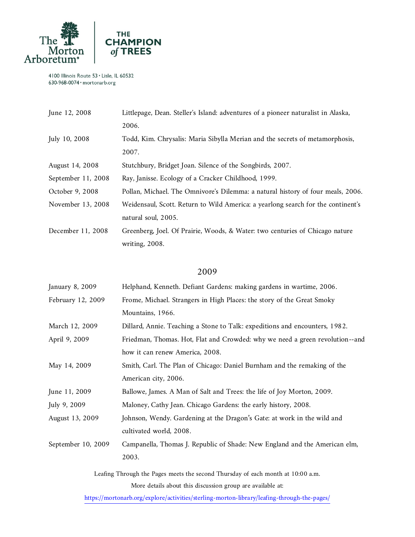

| June 12, 2008      | Littlepage, Dean. Steller's Island: adventures of a pioneer naturalist in Alaska, |
|--------------------|-----------------------------------------------------------------------------------|
|                    | 2006.                                                                             |
| July 10, 2008      | Todd, Kim. Chrysalis: Maria Sibylla Merian and the secrets of metamorphosis,      |
|                    | 2007.                                                                             |
| August 14, 2008    | Stutchbury, Bridget Joan. Silence of the Songbirds, 2007.                         |
| September 11, 2008 | Ray, Janisse. Ecology of a Cracker Childhood, 1999.                               |
| October 9, 2008    | Pollan, Michael. The Omnivore's Dilemma: a natural history of four meals, 2006.   |
| November 13, 2008  | Weidensaul, Scott. Return to Wild America: a yearlong search for the continent's  |
|                    | natural soul, 2005.                                                               |
| December 11, 2008  | Greenberg, Joel. Of Prairie, Woods, & Water: two centuries of Chicago nature      |
|                    | writing, 2008.                                                                    |

## 2009

| January 8, 2009    | Helphand, Kenneth. Defiant Gardens: making gardens in wartime, 2006.                        |
|--------------------|---------------------------------------------------------------------------------------------|
| February 12, 2009  | Frome, Michael. Strangers in High Places: the story of the Great Smoky                      |
|                    | Mountains, 1966.                                                                            |
| March 12, 2009     | Dillard, Annie. Teaching a Stone to Talk: expeditions and encounters, 1982.                 |
| April 9, 2009      | Friedman, Thomas. Hot, Flat and Crowded: why we need a green revolution--and                |
|                    | how it can renew America, 2008.                                                             |
| May 14, 2009       | Smith, Carl. The Plan of Chicago: Daniel Burnham and the remaking of the                    |
|                    | American city, 2006.                                                                        |
| June 11, 2009      | Ballowe, James. A Man of Salt and Trees: the life of Joy Morton, 2009.                      |
| July 9, 2009       | Maloney, Cathy Jean. Chicago Gardens: the early history, 2008.                              |
| August 13, 2009    | Johnson, Wendy. Gardening at the Dragon's Gate: at work in the wild and                     |
|                    | cultivated world, 2008.                                                                     |
| September 10, 2009 | Campanella, Thomas J. Republic of Shade: New England and the American elm,                  |
|                    | 2003.                                                                                       |
|                    | Leafing Through the Pages meets the second Thursday of each month at 10:00 a.m.             |
|                    | More details about this discussion group are available at:                                  |
|                    | https://mortonarb.org/explore/activities/sterling-morton-library/leafing-through-the-pages/ |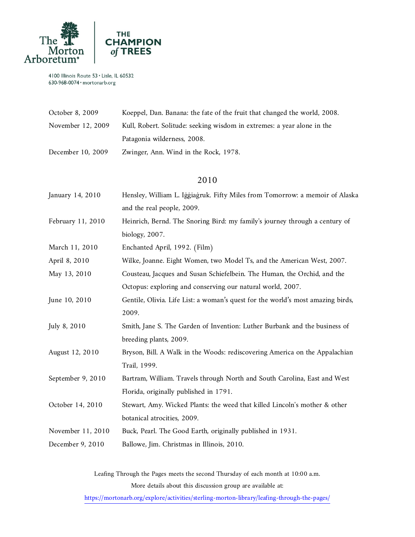

| October 8, 2009   | Koeppel, Dan. Banana: the fate of the fruit that changed the world, 2008. |
|-------------------|---------------------------------------------------------------------------|
| November 12, 2009 | Kull, Robert. Solitude: seeking wisdom in extremes: a year alone in the   |
|                   | Patagonia wilderness, 2008.                                               |
| December 10, 2009 | Zwinger, Ann. Wind in the Rock, 1978.                                     |
|                   |                                                                           |

## 2010

| January 14, 2010  | Hensley, William L. Iggiagruk. Fifty Miles from Tomorrow: a memoir of Alaska    |
|-------------------|---------------------------------------------------------------------------------|
|                   | and the real people, 2009.                                                      |
| February 11, 2010 | Heinrich, Bernd. The Snoring Bird: my family's journey through a century of     |
|                   | biology, 2007.                                                                  |
| March 11, 2010    | Enchanted April, 1992. (Film)                                                   |
| April 8, 2010     | Wilke, Joanne. Eight Women, two Model Ts, and the American West, 2007.          |
| May 13, 2010      | Cousteau, Jacques and Susan Schiefelbein. The Human, the Orchid, and the        |
|                   | Octopus: exploring and conserving our natural world, 2007.                      |
| June 10, 2010     | Gentile, Olivia. Life List: a woman's quest for the world's most amazing birds, |
|                   | 2009.                                                                           |
| July 8, 2010      | Smith, Jane S. The Garden of Invention: Luther Burbank and the business of      |
|                   | breeding plants, 2009.                                                          |
| August 12, 2010   | Bryson, Bill. A Walk in the Woods: rediscovering America on the Appalachian     |
|                   | Trail, 1999.                                                                    |
| September 9, 2010 | Bartram, William. Travels through North and South Carolina, East and West       |
|                   | Florida, originally published in 1791.                                          |
| October 14, 2010  | Stewart, Amy. Wicked Plants: the weed that killed Lincoln's mother & other      |
|                   | botanical atrocities, 2009.                                                     |
| November 11, 2010 | Buck, Pearl. The Good Earth, originally published in 1931.                      |
| December 9, 2010  | Ballowe, Jim. Christmas in Illinois, 2010.                                      |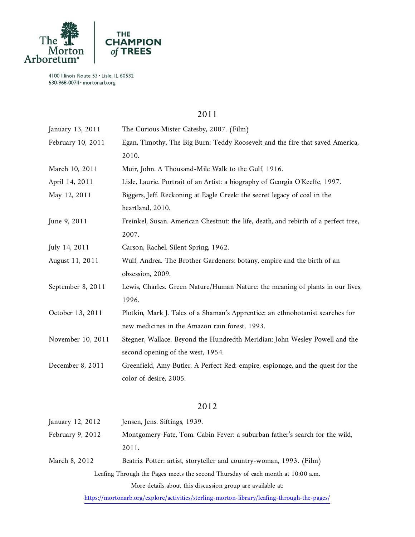

## 2011

| January 13, 2011  | The Curious Mister Catesby, 2007. (Film)                                            |
|-------------------|-------------------------------------------------------------------------------------|
| February 10, 2011 | Egan, Timothy. The Big Burn: Teddy Roosevelt and the fire that saved America,       |
|                   | 2010.                                                                               |
| March 10, 2011    | Muir, John. A Thousand-Mile Walk to the Gulf, 1916.                                 |
| April 14, 2011    | Lisle, Laurie. Portrait of an Artist: a biography of Georgia O'Keeffe, 1997.        |
| May 12, 2011      | Biggers, Jeff. Reckoning at Eagle Creek: the secret legacy of coal in the           |
|                   | heartland, 2010.                                                                    |
| June 9, 2011      | Freinkel, Susan. American Chestnut: the life, death, and rebirth of a perfect tree, |
|                   | 2007.                                                                               |
| July 14, 2011     | Carson, Rachel. Silent Spring, 1962.                                                |
| August 11, 2011   | Wulf, Andrea. The Brother Gardeners: botany, empire and the birth of an             |
|                   | obsession, 2009.                                                                    |
| September 8, 2011 | Lewis, Charles. Green Nature/Human Nature: the meaning of plants in our lives,      |
|                   | 1996.                                                                               |
| October 13, 2011  | Plotkin, Mark J. Tales of a Shaman's Apprentice: an ethnobotanist searches for      |
|                   | new medicines in the Amazon rain forest, 1993.                                      |
| November 10, 2011 | Stegner, Wallace. Beyond the Hundredth Meridian: John Wesley Powell and the         |
|                   | second opening of the west, 1954.                                                   |
| December 8, 2011  | Greenfield, Amy Butler. A Perfect Red: empire, espionage, and the quest for the     |
|                   | color of desire, 2005.                                                              |
|                   |                                                                                     |
|                   |                                                                                     |

# 2012

| January 12, 2012                                                                | Jensen, Jens. Siftings, 1939.                                                               |  |
|---------------------------------------------------------------------------------|---------------------------------------------------------------------------------------------|--|
| February 9, 2012                                                                | Montgomery-Fate, Tom. Cabin Fever: a suburban father's search for the wild,                 |  |
|                                                                                 | 2011.                                                                                       |  |
| March 8, 2012                                                                   | Beatrix Potter: artist, storyteller and country-woman, 1993. (Film)                         |  |
| Leafing Through the Pages meets the second Thursday of each month at 10:00 a.m. |                                                                                             |  |
|                                                                                 | More details about this discussion group are available at:                                  |  |
|                                                                                 | https://mortonarb.org/explore/activities/sterling-morton-library/leafing-through-the-pages/ |  |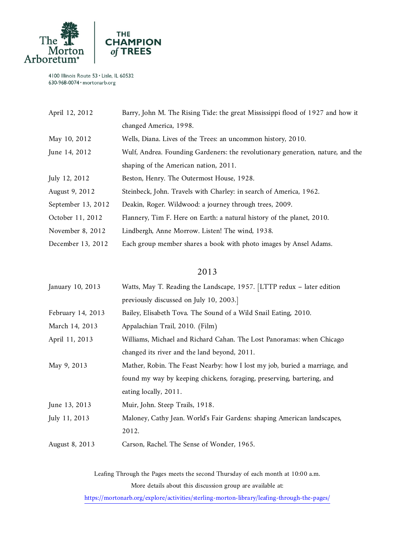

| April 12, 2012     | Barry, John M. The Rising Tide: the great Mississippi flood of 1927 and how it  |
|--------------------|---------------------------------------------------------------------------------|
|                    | changed America, 1998.                                                          |
| May 10, 2012       | Wells, Diana. Lives of the Trees: an uncommon history, 2010.                    |
| June 14, 2012      | Wulf, Andrea. Founding Gardeners: the revolutionary generation, nature, and the |
|                    | shaping of the American nation, 2011.                                           |
| July 12, 2012      | Beston, Henry. The Outermost House, 1928.                                       |
| August 9, 2012     | Steinbeck, John. Travels with Charley: in search of America, 1962.              |
| September 13, 2012 | Deakin, Roger. Wildwood: a journey through trees, 2009.                         |
| October 11, 2012   | Flannery, Tim F. Here on Earth: a natural history of the planet, 2010.          |
| November 8, 2012   | Lindbergh, Anne Morrow. Listen! The wind, 1938.                                 |
| December 13, 2012  | Each group member shares a book with photo images by Ansel Adams.               |

#### 2013

| January 10, 2013  | Watts, May T. Reading the Landscape, 1957. [LTTP redux - later edition     |
|-------------------|----------------------------------------------------------------------------|
|                   | previously discussed on July 10, 2003.                                     |
| February 14, 2013 | Bailey, Elisabeth Tova. The Sound of a Wild Snail Eating, 2010.            |
| March 14, 2013    | Appalachian Trail, 2010. (Film)                                            |
| April 11, 2013    | Williams, Michael and Richard Cahan. The Lost Panoramas: when Chicago      |
|                   | changed its river and the land beyond, 2011.                               |
| May 9, 2013       | Mather, Robin. The Feast Nearby: how I lost my job, buried a marriage, and |
|                   | found my way by keeping chickens, foraging, preserving, bartering, and     |
|                   | eating locally, 2011.                                                      |
| June 13, 2013     | Muir, John. Steep Trails, 1918.                                            |
| July 11, 2013     | Maloney, Cathy Jean. World's Fair Gardens: shaping American landscapes,    |
|                   | 2012.                                                                      |
| August 8, 2013    | Carson, Rachel. The Sense of Wonder, 1965.                                 |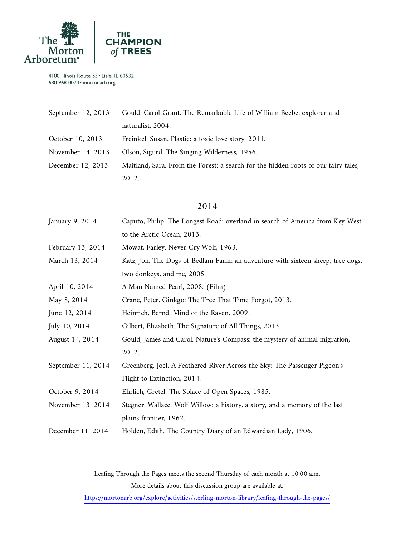

| September 12, 2013 | Gould, Carol Grant. The Remarkable Life of William Beebe: explorer and             |
|--------------------|------------------------------------------------------------------------------------|
|                    | naturalist, 2004.                                                                  |
| October 10, 2013   | Freinkel, Susan. Plastic: a toxic love story, 2011.                                |
| November 14, 2013  | Olson, Sigurd. The Singing Wilderness, 1956.                                       |
| December 12, 2013  | Maitland, Sara. From the Forest: a search for the hidden roots of our fairy tales, |
|                    | 2012.                                                                              |

#### 2014

| January 9, 2014    | Caputo, Philip. The Longest Road: overland in search of America from Key West   |
|--------------------|---------------------------------------------------------------------------------|
|                    | to the Arctic Ocean, 2013.                                                      |
| February 13, 2014  | Mowat, Farley. Never Cry Wolf, 1963.                                            |
| March 13, 2014     | Katz, Jon. The Dogs of Bedlam Farm: an adventure with sixteen sheep, tree dogs, |
|                    | two donkeys, and me, 2005.                                                      |
| April 10, 2014     | A Man Named Pearl, 2008. (Film)                                                 |
| May 8, 2014        | Crane, Peter. Ginkgo: The Tree That Time Forgot, 2013.                          |
| June 12, 2014      | Heinrich, Bernd. Mind of the Raven, 2009.                                       |
| July 10, 2014      | Gilbert, Elizabeth. The Signature of All Things, 2013.                          |
| August 14, 2014    | Gould, James and Carol. Nature's Compass: the mystery of animal migration,      |
|                    | 2012.                                                                           |
| September 11, 2014 | Greenberg, Joel. A Feathered River Across the Sky: The Passenger Pigeon's       |
|                    | Flight to Extinction, 2014.                                                     |
| October 9, 2014    | Ehrlich, Gretel. The Solace of Open Spaces, 1985.                               |
| November 13, 2014  | Stegner, Wallace. Wolf Willow: a history, a story, and a memory of the last     |
|                    | plains frontier, 1962.                                                          |
| December 11, 2014  | Holden, Edith. The Country Diary of an Edwardian Lady, 1906.                    |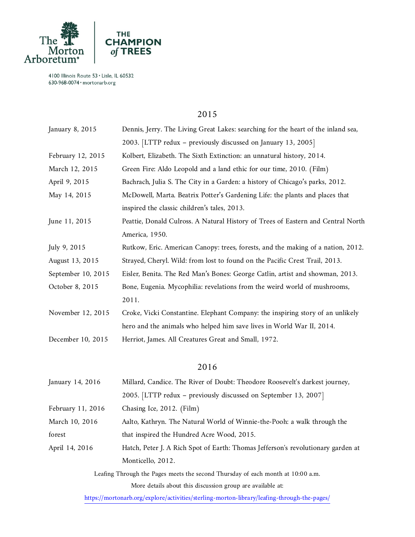

#### 2015

| January 8, 2015    | Dennis, Jerry. The Living Great Lakes: searching for the heart of the inland sea, |
|--------------------|-----------------------------------------------------------------------------------|
|                    | 2003. [LTTP redux - previously discussed on January 13, 2005]                     |
| February 12, 2015  | Kolbert, Elizabeth. The Sixth Extinction: an unnatural history, 2014.             |
| March 12, 2015     | Green Fire: Aldo Leopold and a land ethic for our time, 2010. (Film)              |
| April 9, 2015      | Bachrach, Julia S. The City in a Garden: a history of Chicago's parks, 2012.      |
| May 14, 2015       | McDowell, Marta. Beatrix Potter's Gardening Life: the plants and places that      |
|                    | inspired the classic children's tales, 2013.                                      |
| June 11, 2015      | Peattie, Donald Culross. A Natural History of Trees of Eastern and Central North  |
|                    | America, 1950.                                                                    |
| July 9, 2015       | Rutkow, Eric. American Canopy: trees, forests, and the making of a nation, 2012.  |
| August 13, 2015    | Strayed, Cheryl. Wild: from lost to found on the Pacific Crest Trail, 2013.       |
| September 10, 2015 | Eisler, Benita. The Red Man's Bones: George Catlin, artist and showman, 2013.     |
| October 8, 2015    | Bone, Eugenia. Mycophilia: revelations from the weird world of mushrooms,         |
|                    | 2011.                                                                             |
| November 12, 2015  | Croke, Vicki Constantine. Elephant Company: the inspiring story of an unlikely    |
|                    | hero and the animals who helped him save lives in World War II, 2014.             |
| December 10, 2015  | Herriot, James. All Creatures Great and Small, 1972.                              |
|                    | 2016                                                                              |
|                    |                                                                                   |
| January 14, 2016   | Millard, Candice. The River of Doubt: Theodore Roosevelt's darkest journey,       |
|                    | 2005. [LTTP redux - previously discussed on September 13, 2007]                   |
| February 11, 2016  | Chasing Ice, 2012. (Film)                                                         |
| March 10, 2016     | Aalto, Kathryn. The Natural World of Winnie-the-Pooh: a walk through the          |
| forest             | that inspired the Hundred Acre Wood, 2015.                                        |

April 14, 2016 Hatch, Peter J. A Rich Spot of Earth: Thomas Jefferson's revolutionary garden at Monticello, 2012.

> Leafing Through the Pages meets the second Thursday of each month at 10:00 a.m. More details about this discussion group are available at: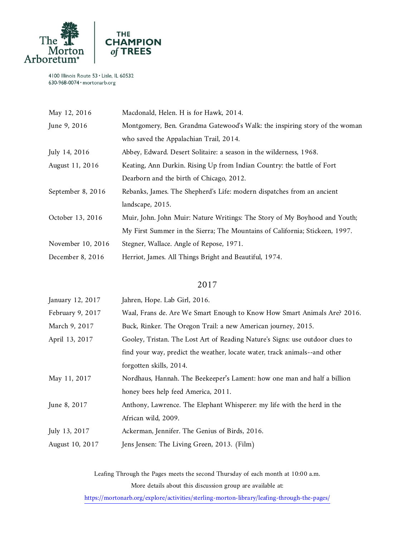

| May 12, 2016      | Macdonald, Helen. H is for Hawk, 2014.                                      |
|-------------------|-----------------------------------------------------------------------------|
| June 9, 2016      | Montgomery, Ben. Grandma Gatewood's Walk: the inspiring story of the woman  |
|                   | who saved the Appalachian Trail, 2014.                                      |
| July 14, 2016     | Abbey, Edward. Desert Solitaire: a season in the wilderness, 1968.          |
| August 11, 2016   | Keating, Ann Durkin. Rising Up from Indian Country: the battle of Fort      |
|                   | Dearborn and the birth of Chicago, 2012.                                    |
| September 8, 2016 | Rebanks, James. The Shepherd's Life: modern dispatches from an ancient      |
|                   | landscape, 2015.                                                            |
| October 13, 2016  | Muir, John. John Muir: Nature Writings: The Story of My Boyhood and Youth;  |
|                   | My First Summer in the Sierra; The Mountains of California; Stickeen, 1997. |
| November 10, 2016 | Stegner, Wallace. Angle of Repose, 1971.                                    |
| December 8, 2016  | Herriot, James. All Things Bright and Beautiful, 1974.                      |
|                   |                                                                             |

#### 2017

| January 12, 2017 | Jahren, Hope. Lab Girl, 2016.                                                 |
|------------------|-------------------------------------------------------------------------------|
| February 9, 2017 | Waal, Frans de. Are We Smart Enough to Know How Smart Animals Are? 2016.      |
| March 9, 2017    | Buck, Rinker. The Oregon Trail: a new American journey, 2015.                 |
| April 13, 2017   | Gooley, Tristan. The Lost Art of Reading Nature's Signs: use outdoor clues to |
|                  | find your way, predict the weather, locate water, track animals--and other    |
|                  | forgotten skills, 2014.                                                       |
| May 11, 2017     | Nordhaus, Hannah. The Beekeeper's Lament: how one man and half a billion      |
|                  | honey bees help feed America, 2011.                                           |
| June 8, 2017     | Anthony, Lawrence. The Elephant Whisperer: my life with the herd in the       |
|                  | African wild, 2009.                                                           |
| July 13, 2017    | Ackerman, Jennifer. The Genius of Birds, 2016.                                |
| August 10, 2017  | Jens Jensen: The Living Green, 2013. (Film)                                   |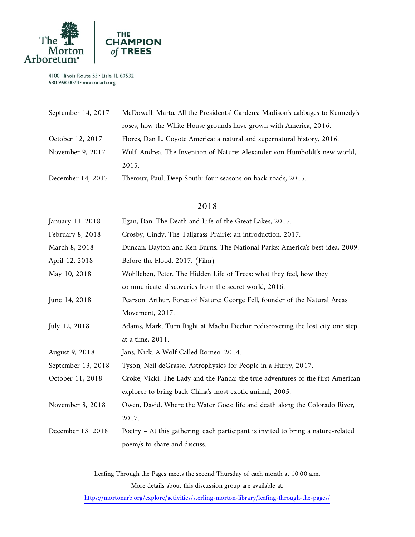

| September 14, 2017 | McDowell, Marta. All the Presidents' Gardens: Madison's cabbages to Kennedy's |
|--------------------|-------------------------------------------------------------------------------|
|                    | roses, how the White House grounds have grown with America, 2016.             |
| October 12, 2017   | Flores, Dan L. Coyote America: a natural and supernatural history, 2016.      |
| November 9, 2017   | Wulf, Andrea. The Invention of Nature: Alexander von Humboldt's new world,    |
|                    | 2015.                                                                         |
| December 14, 2017  | Theroux, Paul. Deep South: four seasons on back roads, 2015.                  |

#### 2018

| January 11, 2018   | Egan, Dan. The Death and Life of the Great Lakes, 2017.                           |
|--------------------|-----------------------------------------------------------------------------------|
| February 8, 2018   | Crosby, Cindy. The Tallgrass Prairie: an introduction, 2017.                      |
| March 8, 2018      | Duncan, Dayton and Ken Burns. The National Parks: America's best idea, 2009.      |
| April 12, 2018     | Before the Flood, 2017. (Film)                                                    |
| May 10, 2018       | Wohlleben, Peter. The Hidden Life of Trees: what they feel, how they              |
|                    | communicate, discoveries from the secret world, 2016.                             |
| June 14, 2018      | Pearson, Arthur. Force of Nature: George Fell, founder of the Natural Areas       |
|                    | Movement, 2017.                                                                   |
| July 12, 2018      | Adams, Mark. Turn Right at Machu Picchu: rediscovering the lost city one step     |
|                    | at a time, 2011.                                                                  |
| August 9, 2018     | Jans, Nick. A Wolf Called Romeo, 2014.                                            |
| September 13, 2018 | Tyson, Neil deGrasse. Astrophysics for People in a Hurry, 2017.                   |
| October 11, 2018   | Croke, Vicki. The Lady and the Panda: the true adventures of the first American   |
|                    | explorer to bring back China's most exotic animal, 2005.                          |
| November 8, 2018   | Owen, David. Where the Water Goes: life and death along the Colorado River,       |
|                    | 2017.                                                                             |
| December 13, 2018  | Poetry - At this gathering, each participant is invited to bring a nature-related |
|                    | poem/s to share and discuss.                                                      |
|                    |                                                                                   |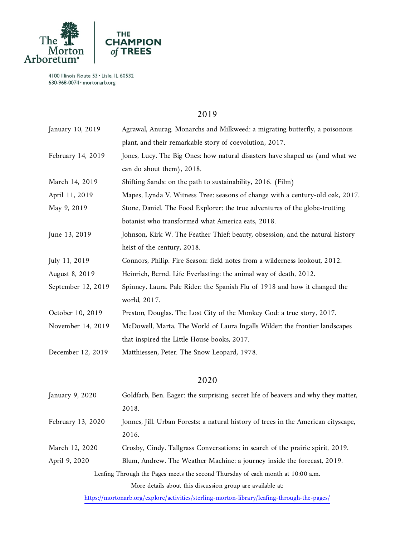

## 2019

| January 10, 2019   | Agrawal, Anurag. Monarchs and Milkweed: a migrating butterfly, a poisonous     |
|--------------------|--------------------------------------------------------------------------------|
|                    | plant, and their remarkable story of coevolution, 2017.                        |
| February 14, 2019  | Jones, Lucy. The Big Ones: how natural disasters have shaped us (and what we   |
|                    | can do about them), 2018.                                                      |
| March 14, 2019     | Shifting Sands: on the path to sustainability, 2016. (Film)                    |
| April 11, 2019     | Mapes, Lynda V. Witness Tree: seasons of change with a century-old oak, 2017.  |
| May 9, 2019        | Stone, Daniel. The Food Explorer: the true adventures of the globe-trotting    |
|                    | botanist who transformed what America eats, 2018.                              |
| June 13, 2019      | Johnson, Kirk W. The Feather Thief: beauty, obsession, and the natural history |
|                    | heist of the century, 2018.                                                    |
| July 11, 2019      | Connors, Philip. Fire Season: field notes from a wilderness lookout, 2012.     |
| August 8, 2019     | Heinrich, Bernd. Life Everlasting: the animal way of death, 2012.              |
| September 12, 2019 | Spinney, Laura. Pale Rider: the Spanish Flu of 1918 and how it changed the     |
|                    | world, 2017.                                                                   |
| October 10, 2019   | Preston, Douglas. The Lost City of the Monkey God: a true story, 2017.         |
| November 14, 2019  | McDowell, Marta. The World of Laura Ingalls Wilder: the frontier landscapes    |
|                    | that inspired the Little House books, 2017.                                    |
| December 12, 2019  | Matthiessen, Peter. The Snow Leopard, 1978.                                    |
|                    |                                                                                |
|                    |                                                                                |

#### 2020

| January 9, 2020                                                                 | Goldfarb, Ben. Eager: the surprising, secret life of beavers and why they matter,  |  |
|---------------------------------------------------------------------------------|------------------------------------------------------------------------------------|--|
|                                                                                 | 2018.                                                                              |  |
| February 13, 2020                                                               | Jonnes, Jill. Urban Forests: a natural history of trees in the American cityscape, |  |
|                                                                                 | 2016.                                                                              |  |
| March 12, 2020                                                                  | Crosby, Cindy. Tallgrass Conversations: in search of the prairie spirit, 2019.     |  |
| April 9, 2020                                                                   | Blum, Andrew. The Weather Machine: a journey inside the forecast, 2019.            |  |
| Leafing Through the Pages meets the second Thursday of each month at 10:00 a.m. |                                                                                    |  |
|                                                                                 | More details about this discussion group are available at:                         |  |
|                                                                                 |                                                                                    |  |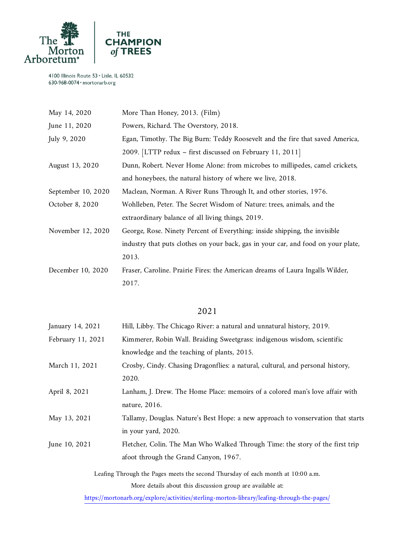

| May 14, 2020       | More Than Honey, 2013. (Film)                                                     |
|--------------------|-----------------------------------------------------------------------------------|
| June 11, 2020      | Powers, Richard. The Overstory, 2018.                                             |
| July 9, 2020       | Egan, Timothy. The Big Burn: Teddy Roosevelt and the fire that saved America,     |
|                    | 2009. [LTTP redux – first discussed on February 11, 2011]                         |
| August 13, 2020    | Dunn, Robert. Never Home Alone: from microbes to millipedes, camel crickets,      |
|                    | and honeybees, the natural history of where we live, 2018.                        |
| September 10, 2020 | Maclean, Norman. A River Runs Through It, and other stories, 1976.                |
| October 8, 2020    | Wohlleben, Peter. The Secret Wisdom of Nature: trees, animals, and the            |
|                    | extraordinary balance of all living things, 2019.                                 |
| November 12, 2020  | George, Rose. Ninety Percent of Everything: inside shipping, the invisible        |
|                    | industry that puts clothes on your back, gas in your car, and food on your plate, |
|                    | 2013.                                                                             |
| December 10, 2020  | Fraser, Caroline. Prairie Fires: the American dreams of Laura Ingalls Wilder,     |
|                    | 2017.                                                                             |
|                    |                                                                                   |
|                    |                                                                                   |

# 2021

| January 14, 2021                                                                | Hill, Libby. The Chicago River: a natural and unnatural history, 2019.                      |  |
|---------------------------------------------------------------------------------|---------------------------------------------------------------------------------------------|--|
| February 11, 2021                                                               | Kimmerer, Robin Wall. Braiding Sweetgrass: indigenous wisdom, scientific                    |  |
|                                                                                 | knowledge and the teaching of plants, 2015.                                                 |  |
| March 11, 2021                                                                  | Crosby, Cindy. Chasing Dragonflies: a natural, cultural, and personal history,              |  |
|                                                                                 | 2020.                                                                                       |  |
| April 8, 2021                                                                   | Lanham, J. Drew. The Home Place: memoirs of a colored man's love affair with                |  |
|                                                                                 | nature, 2016.                                                                               |  |
| May 13, 2021                                                                    | Tallamy, Douglas. Nature's Best Hope: a new approach to vonservation that starts            |  |
|                                                                                 | in your yard, 2020.                                                                         |  |
| June 10, 2021                                                                   | Fletcher, Colin. The Man Who Walked Through Time: the story of the first trip               |  |
|                                                                                 | afoot through the Grand Canyon, 1967.                                                       |  |
| Leafing Through the Pages meets the second Thursday of each month at 10:00 a.m. |                                                                                             |  |
|                                                                                 | More details about this discussion group are available at:                                  |  |
|                                                                                 | https://mortonarb.org/explore/activities/sterling-morton-library/leafing-through-the-pages/ |  |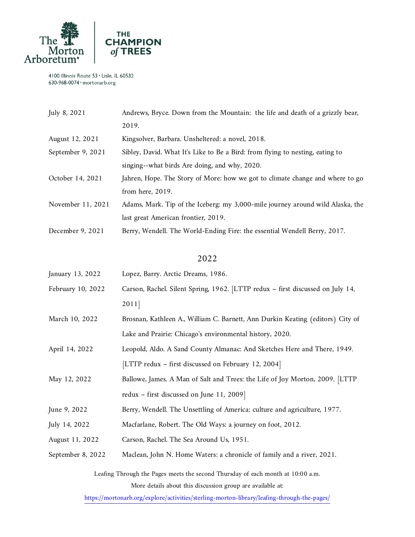

| July 8, 2021      | Andrews, Bryce. Down from the Mountain: the life and death of a grizzly bear,  |
|-------------------|--------------------------------------------------------------------------------|
|                   | 2019.                                                                          |
| August 12, 2021   | Kingsolver, Barbara. Unsheltered: a novel, 2018.                               |
| September 9, 2021 | Sibley, David. What It's Like to Be a Bird: from flying to nesting, eating to  |
|                   | singing--what birds Are doing, and why, 2020.                                  |
| October 14, 2021  | Jahren, Hope. The Story of More: how we got to climate change and where to go  |
|                   | from here, $2019$ .                                                            |
| November 11, 2021 | Adams, Mark. Tip of the Iceberg: my 3,000-mile journey around wild Alaska, the |
|                   | last great American frontier, 2019.                                            |
| December 9, 2021  | Berry, Wendell. The World-Ending Fire: the essential Wendell Berry, 2017.      |

#### 2022

| January 13, 2022  | Lopez, Barry. Arctic Dreams, 1986.                                             |
|-------------------|--------------------------------------------------------------------------------|
| February 10, 2022 | Carson, Rachel. Silent Spring, 1962. [LTTP redux - first discussed on July 14, |
|                   | 2011                                                                           |

- March 10, 2022 Brosnan, Kathleen A., William C. Barnett, Ann Durkin Keating (editors) City of Lake and Prairie: Chicago's environmental history, 2020.
- April 14, 2022 Leopold, Aldo. A Sand County Almanac: And Sketches Here and There, 1949. [LTTP redux – first discussed on February 12, 2004]
- May 12, 2022 Ballowe, James. A Man of Salt and Trees: the Life of Joy Morton, 2009. [LTTP redux – first discussed on June 11, 2009]
- June 9, 2022 Berry, Wendell. The Unsettling of America: culture and agriculture, 1977.
- July 14, 2022 Macfarlane, Robert. The Old Ways: a journey on foot, 2012.
- August 11, 2022 Carson, Rachel. The Sea Around Us, 1951.
- September 8, 2022 Maclean, John N. Home Waters: a chronicle of family and a river, 2021.

Leafing Through the Pages meets the second Thursday of each month at 10:00 a.m. More details about this discussion group are available at: